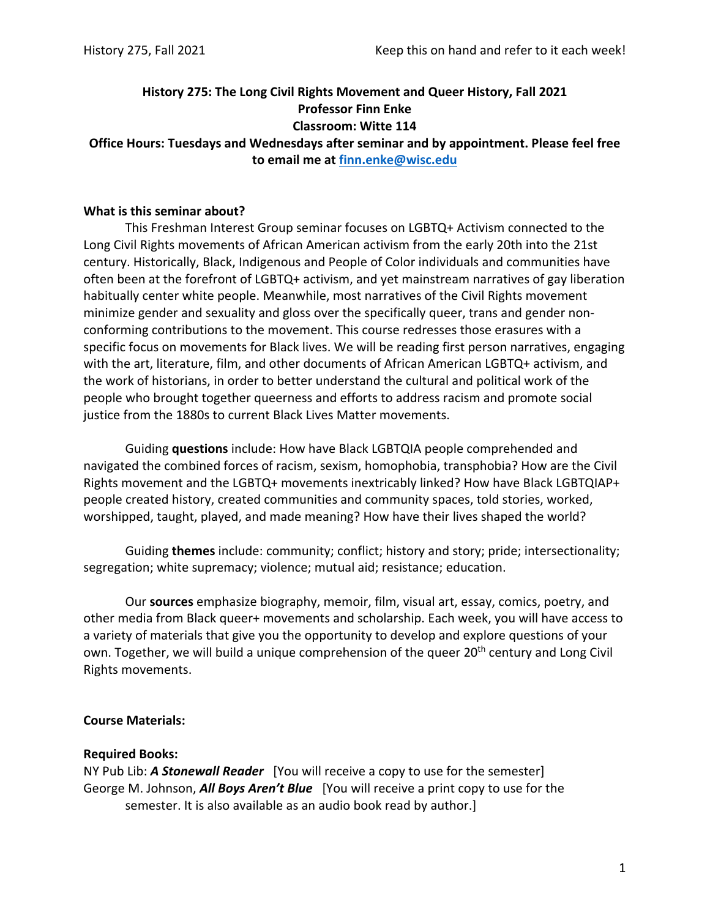# **History 275: The Long Civil Rights Movement and Queer History, Fall 2021 Professor Finn Enke Classroom: Witte 114**

**Office Hours: Tuesdays and Wednesdays after seminar and by appointment. Please feel free to email me at finn.enke@wisc.edu** 

#### **What is this seminar about?**

This Freshman Interest Group seminar focuses on LGBTQ+ Activism connected to the Long Civil Rights movements of African American activism from the early 20th into the 21st century. Historically, Black, Indigenous and People of Color individuals and communities have often been at the forefront of LGBTQ+ activism, and yet mainstream narratives of gay liberation habitually center white people. Meanwhile, most narratives of the Civil Rights movement minimize gender and sexuality and gloss over the specifically queer, trans and gender non‐ conforming contributions to the movement. This course redresses those erasures with a specific focus on movements for Black lives. We will be reading first person narratives, engaging with the art, literature, film, and other documents of African American LGBTQ+ activism, and the work of historians, in order to better understand the cultural and political work of the people who brought together queerness and efforts to address racism and promote social justice from the 1880s to current Black Lives Matter movements.

Guiding **questions** include: How have Black LGBTQIA people comprehended and navigated the combined forces of racism, sexism, homophobia, transphobia? How are the Civil Rights movement and the LGBTQ+ movements inextricably linked? How have Black LGBTQIAP+ people created history, created communities and community spaces, told stories, worked, worshipped, taught, played, and made meaning? How have their lives shaped the world?

Guiding **themes** include: community; conflict; history and story; pride; intersectionality; segregation; white supremacy; violence; mutual aid; resistance; education.

Our **sources** emphasize biography, memoir, film, visual art, essay, comics, poetry, and other media from Black queer+ movements and scholarship. Each week, you will have access to a variety of materials that give you the opportunity to develop and explore questions of your own. Together, we will build a unique comprehension of the queer 20<sup>th</sup> century and Long Civil Rights movements.

### **Course Materials:**

### **Required Books:**

NY Pub Lib: *A Stonewall Reader* [You will receive a copy to use for the semester] George M. Johnson, *All Boys Aren't Blue* [You will receive a print copy to use for the semester. It is also available as an audio book read by author.]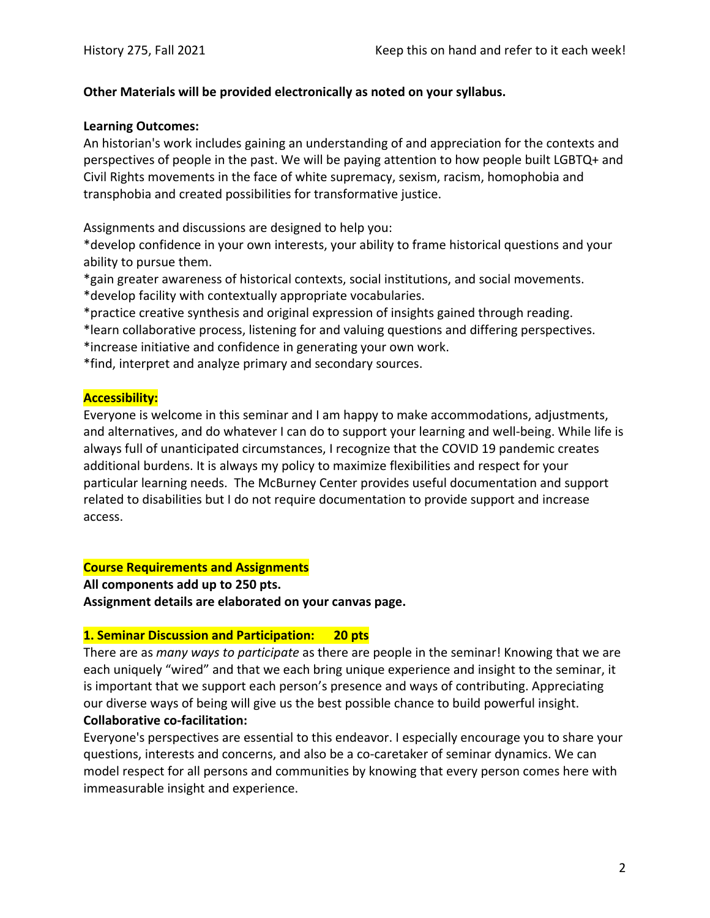### **Other Materials will be provided electronically as noted on your syllabus.**

#### **Learning Outcomes:**

An historian's work includes gaining an understanding of and appreciation for the contexts and perspectives of people in the past. We will be paying attention to how people built LGBTQ+ and Civil Rights movements in the face of white supremacy, sexism, racism, homophobia and transphobia and created possibilities for transformative justice.

Assignments and discussions are designed to help you:

\*develop confidence in your own interests, your ability to frame historical questions and your ability to pursue them.

\*gain greater awareness of historical contexts, social institutions, and social movements.

\*develop facility with contextually appropriate vocabularies.

\*practice creative synthesis and original expression of insights gained through reading.

\*learn collaborative process, listening for and valuing questions and differing perspectives.

\*increase initiative and confidence in generating your own work.

\*find, interpret and analyze primary and secondary sources.

### **Accessibility:**

Everyone is welcome in this seminar and I am happy to make accommodations, adjustments, and alternatives, and do whatever I can do to support your learning and well-being. While life is always full of unanticipated circumstances, I recognize that the COVID 19 pandemic creates additional burdens. It is always my policy to maximize flexibilities and respect for your particular learning needs. The McBurney Center provides useful documentation and support related to disabilities but I do not require documentation to provide support and increase access.

### **Course Requirements and Assignments**

**All components add up to 250 pts. Assignment details are elaborated on your canvas page.**

### **1. Seminar Discussion and Participation: 20 pts**

There are as *many ways to participate* as there are people in the seminar! Knowing that we are each uniquely "wired" and that we each bring unique experience and insight to the seminar, it is important that we support each person's presence and ways of contributing. Appreciating our diverse ways of being will give us the best possible chance to build powerful insight. **Collaborative co‐facilitation:**

Everyone's perspectives are essential to this endeavor. I especially encourage you to share your questions, interests and concerns, and also be a co‐caretaker of seminar dynamics. We can model respect for all persons and communities by knowing that every person comes here with immeasurable insight and experience.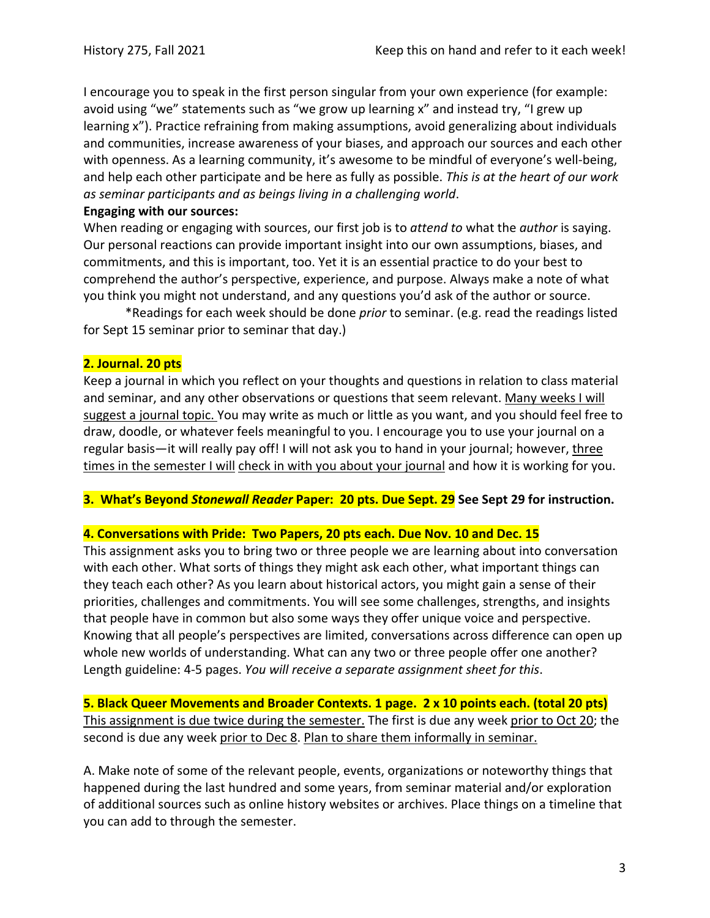I encourage you to speak in the first person singular from your own experience (for example: avoid using "we" statements such as "we grow up learning x" and instead try, "I grew up learning x"). Practice refraining from making assumptions, avoid generalizing about individuals and communities, increase awareness of your biases, and approach our sources and each other with openness. As a learning community, it's awesome to be mindful of everyone's well-being, and help each other participate and be here as fully as possible. *This is at the heart of our work as seminar participants and as beings living in a challenging world*.

### **Engaging with our sources:**

When reading or engaging with sources, our first job is to *attend to* what the *author* is saying. Our personal reactions can provide important insight into our own assumptions, biases, and commitments, and this is important, too. Yet it is an essential practice to do your best to comprehend the author's perspective, experience, and purpose. Always make a note of what you think you might not understand, and any questions you'd ask of the author or source.

\*Readings for each week should be done *prior* to seminar. (e.g. read the readings listed for Sept 15 seminar prior to seminar that day.)

## **2. Journal. 20 pts**

Keep a journal in which you reflect on your thoughts and questions in relation to class material and seminar, and any other observations or questions that seem relevant. Many weeks I will suggest a journal topic. You may write as much or little as you want, and you should feel free to draw, doodle, or whatever feels meaningful to you. I encourage you to use your journal on a regular basis—it will really pay off! I will not ask you to hand in your journal; however, three times in the semester I will check in with you about your journal and how it is working for you.

## **3. What's Beyond** *Stonewall Reader* **Paper: 20 pts. Due Sept. 29 See Sept 29 for instruction.**

## **4. Conversations with Pride: Two Papers, 20 pts each. Due Nov. 10 and Dec. 15**

This assignment asks you to bring two or three people we are learning about into conversation with each other. What sorts of things they might ask each other, what important things can they teach each other? As you learn about historical actors, you might gain a sense of their priorities, challenges and commitments. You will see some challenges, strengths, and insights that people have in common but also some ways they offer unique voice and perspective. Knowing that all people's perspectives are limited, conversations across difference can open up whole new worlds of understanding. What can any two or three people offer one another? Length guideline: 4‐5 pages. *You will receive a separate assignment sheet for this*.

**5. Black Queer Movements and Broader Contexts. 1 page. 2 x 10 points each. (total 20 pts)** This assignment is due twice during the semester. The first is due any week prior to Oct 20; the second is due any week prior to Dec 8. Plan to share them informally in seminar.

A. Make note of some of the relevant people, events, organizations or noteworthy things that happened during the last hundred and some years, from seminar material and/or exploration of additional sources such as online history websites or archives. Place things on a timeline that you can add to through the semester.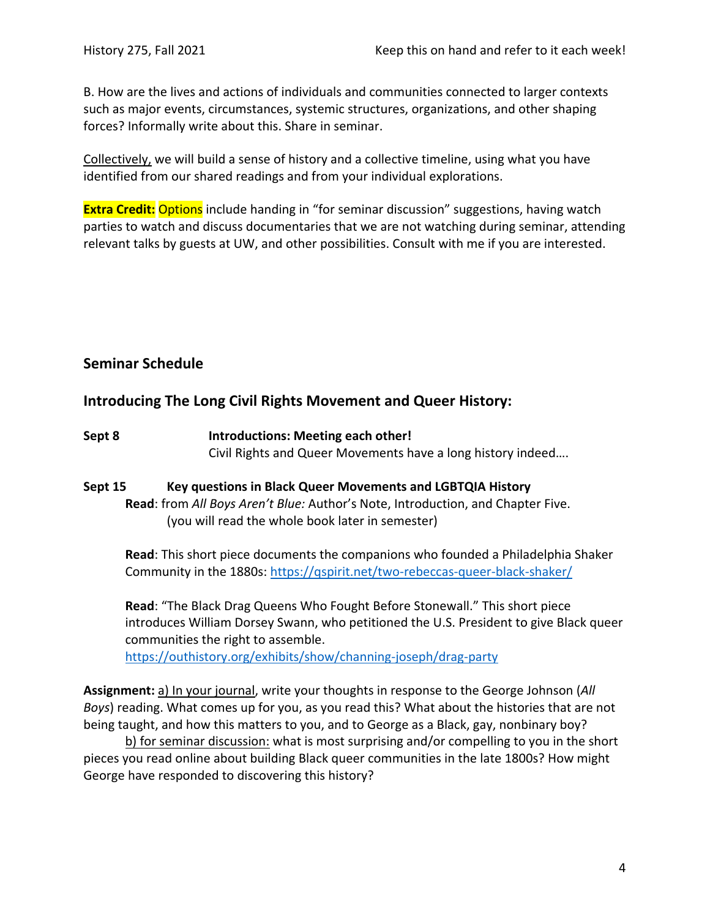B. How are the lives and actions of individuals and communities connected to larger contexts such as major events, circumstances, systemic structures, organizations, and other shaping forces? Informally write about this. Share in seminar.

Collectively, we will build a sense of history and a collective timeline, using what you have identified from our shared readings and from your individual explorations.

**Extra Credit:** Options include handing in "for seminar discussion" suggestions, having watch parties to watch and discuss documentaries that we are not watching during seminar, attending relevant talks by guests at UW, and other possibilities. Consult with me if you are interested.

## **Seminar Schedule**

## **Introducing The Long Civil Rights Movement and Queer History:**

**Sept 8 Introductions: Meeting each other!** Civil Rights and Queer Movements have a long history indeed….

### **Sept 15 Key questions in Black Queer Movements and LGBTQIA History Read**: from *All Boys Aren't Blue:* Author's Note, Introduction, and Chapter Five. (you will read the whole book later in semester)

**Read**: This short piece documents the companions who founded a Philadelphia Shaker Community in the 1880s: https://qspirit.net/two‐rebeccas‐queer‐black‐shaker/

**Read**: "The Black Drag Queens Who Fought Before Stonewall." This short piece introduces William Dorsey Swann, who petitioned the U.S. President to give Black queer communities the right to assemble.

https://outhistory.org/exhibits/show/channing‐joseph/drag‐party

**Assignment:** a) In your journal, write your thoughts in response to the George Johnson (*All Boys*) reading. What comes up for you, as you read this? What about the histories that are not being taught, and how this matters to you, and to George as a Black, gay, nonbinary boy?

b) for seminar discussion: what is most surprising and/or compelling to you in the short pieces you read online about building Black queer communities in the late 1800s? How might George have responded to discovering this history?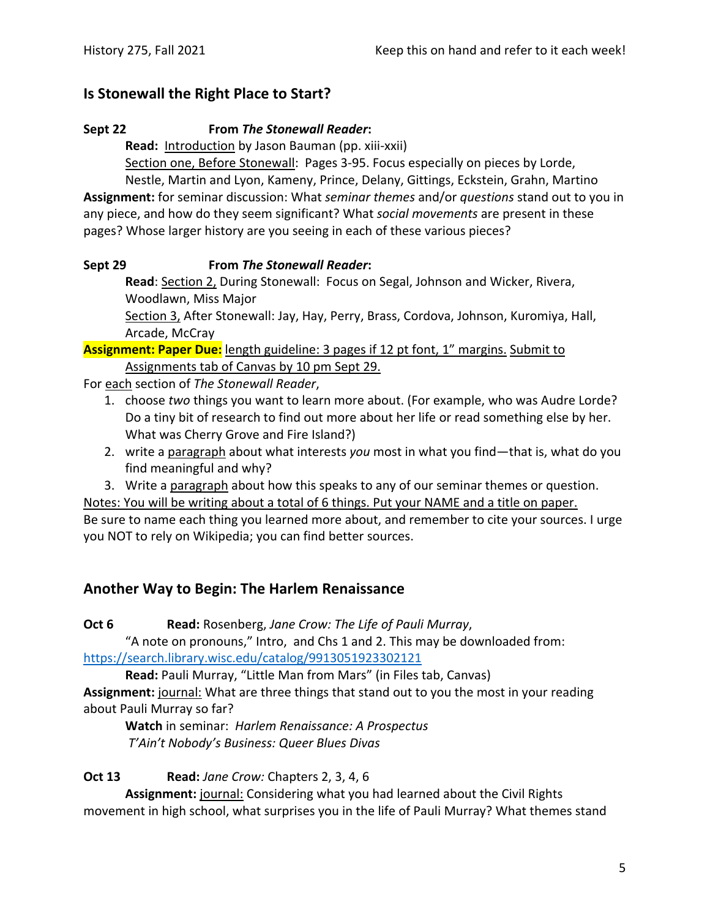## **Is Stonewall the Right Place to Start?**

### **Sept 22 From** *The Stonewall Reader***:**

Read: **Introduction** by Jason Bauman (pp. xiii-xxii)

Section one, Before Stonewall: Pages 3‐95. Focus especially on pieces by Lorde,

Nestle, Martin and Lyon, Kameny, Prince, Delany, Gittings, Eckstein, Grahn, Martino **Assignment:** for seminar discussion: What *seminar themes* and/or *questions* stand out to you in any piece, and how do they seem significant? What *social movements* are present in these pages? Whose larger history are you seeing in each of these various pieces?

## **Sept 29 From** *The Stonewall Reader***:**

**Read**: Section 2, During Stonewall: Focus on Segal, Johnson and Wicker, Rivera, Woodlawn, Miss Major

Section 3, After Stonewall: Jay, Hay, Perry, Brass, Cordova, Johnson, Kuromiya, Hall, Arcade, McCray

**Assignment: Paper Due:** length guideline: 3 pages if 12 pt font, 1" margins. Submit to Assignments tab of Canvas by 10 pm Sept 29.

For each section of *The Stonewall Reader*,

- 1. choose *two* things you want to learn more about. (For example, who was Audre Lorde? Do a tiny bit of research to find out more about her life or read something else by her. What was Cherry Grove and Fire Island?)
- 2. write a paragraph about what interests *you* most in what you find—that is, what do you find meaningful and why?
- 3. Write a paragraph about how this speaks to any of our seminar themes or question.

Notes: You will be writing about a total of 6 things. Put your NAME and a title on paper.

Be sure to name each thing you learned more about, and remember to cite your sources. I urge you NOT to rely on Wikipedia; you can find better sources.

## **Another Way to Begin: The Harlem Renaissance**

**Oct 6 Read:** Rosenberg, *Jane Crow: The Life of Pauli Murray*,

"A note on pronouns," Intro, and Chs 1 and 2. This may be downloaded from: https://search.library.wisc.edu/catalog/9913051923302121

**Read:** Pauli Murray, "Little Man from Mars" (in Files tab, Canvas) **Assignment:** journal: What are three things that stand out to you the most in your reading about Pauli Murray so far?

**Watch** in seminar: *Harlem Renaissance: A Prospectus T'Ain't Nobody's Business: Queer Blues Divas*

**Oct 13 Read:** *Jane Crow:* Chapters 2, 3, 4, 6

**Assignment:** journal: Considering what you had learned about the Civil Rights movement in high school, what surprises you in the life of Pauli Murray? What themes stand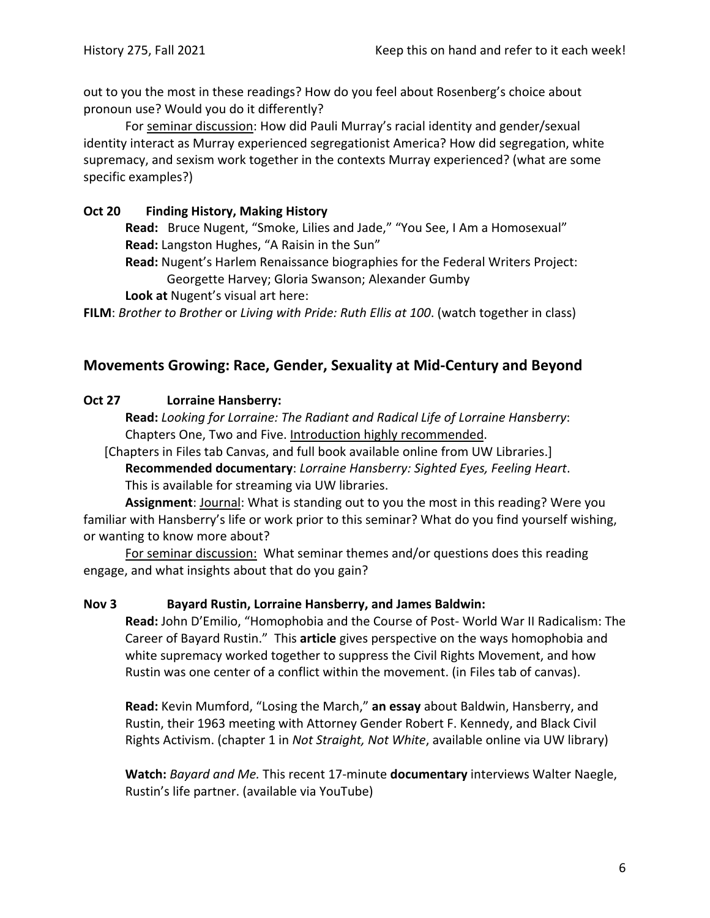out to you the most in these readings? How do you feel about Rosenberg's choice about pronoun use? Would you do it differently?

For seminar discussion: How did Pauli Murray's racial identity and gender/sexual identity interact as Murray experienced segregationist America? How did segregation, white supremacy, and sexism work together in the contexts Murray experienced? (what are some specific examples?)

### **Oct 20 Finding History, Making History**

**Read:** Bruce Nugent, "Smoke, Lilies and Jade," "You See, I Am a Homosexual" **Read:** Langston Hughes, "A Raisin in the Sun"

**Read:** Nugent's Harlem Renaissance biographies for the Federal Writers Project: Georgette Harvey; Gloria Swanson; Alexander Gumby

**Look at** Nugent's visual art here:

**FILM**: *Brother to Brother* or *Living with Pride: Ruth Ellis at 100*. (watch together in class)

## **Movements Growing: Race, Gender, Sexuality at Mid‐Century and Beyond**

### **Oct 27 Lorraine Hansberry:**

**Read:** *Looking for Lorraine: The Radiant and Radical Life of Lorraine Hansberry*: Chapters One, Two and Five. Introduction highly recommended.

[Chapters in Files tab Canvas, and full book available online from UW Libraries.] **Recommended documentary**: *Lorraine Hansberry: Sighted Eyes, Feeling Heart*. This is available for streaming via UW libraries.

**Assignment**: Journal: What is standing out to you the most in this reading? Were you familiar with Hansberry's life or work prior to this seminar? What do you find yourself wishing, or wanting to know more about?

For seminar discussion: What seminar themes and/or questions does this reading engage, and what insights about that do you gain?

### **Nov 3 Bayard Rustin, Lorraine Hansberry, and James Baldwin:**

**Read:** John D'Emilio, "Homophobia and the Course of Post‐ World War II Radicalism: The Career of Bayard Rustin." This **article** gives perspective on the ways homophobia and white supremacy worked together to suppress the Civil Rights Movement, and how Rustin was one center of a conflict within the movement. (in Files tab of canvas).

**Read:** Kevin Mumford, "Losing the March," **an essay** about Baldwin, Hansberry, and Rustin, their 1963 meeting with Attorney Gender Robert F. Kennedy, and Black Civil Rights Activism. (chapter 1 in *Not Straight, Not White*, available online via UW library)

**Watch:** *Bayard and Me.* This recent 17‐minute **documentary** interviews Walter Naegle, Rustin's life partner. (available via YouTube)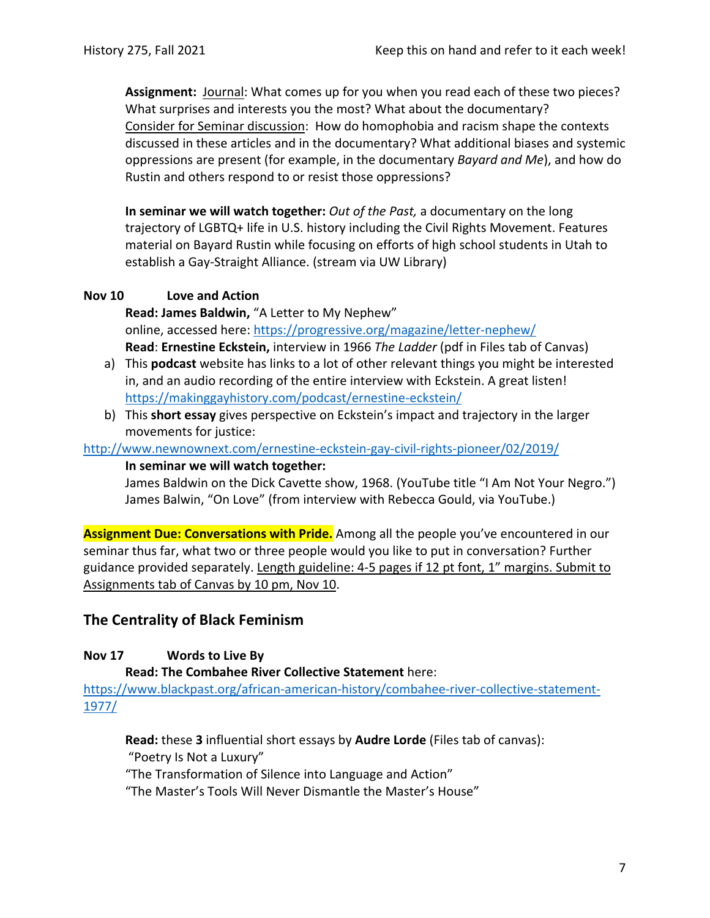**Assignment:** Journal: What comes up for you when you read each of these two pieces? What surprises and interests you the most? What about the documentary? Consider for Seminar discussion: How do homophobia and racism shape the contexts discussed in these articles and in the documentary? What additional biases and systemic oppressions are present (for example, in the documentary *Bayard and Me*), and how do Rustin and others respond to or resist those oppressions?

**In seminar we will watch together:** *Out of the Past,* a documentary on the long trajectory of LGBTQ+ life in U.S. history including the Civil Rights Movement. Features material on Bayard Rustin while focusing on efforts of high school students in Utah to establish a Gay‐Straight Alliance. (stream via UW Library)

### **Nov 10 Love and Action**

**Read: James Baldwin,** "A Letter to My Nephew" online, accessed here: https://progressive.org/magazine/letter-nephew/ **Read**: **Ernestine Eckstein,** interview in 1966 *The Ladder* (pdf in Files tab of Canvas)

- a) This **podcast** website has links to a lot of other relevant things you might be interested in, and an audio recording of the entire interview with Eckstein. A great listen! https://makinggayhistory.com/podcast/ernestine‐eckstein/
- b) This **short essay** gives perspective on Eckstein's impact and trajectory in the larger movements for justice:

http://www.newnownext.com/ernestine‐eckstein‐gay‐civil‐rights‐pioneer/02/2019/

**In seminar we will watch together:** 

James Baldwin on the Dick Cavette show, 1968. (YouTube title "I Am Not Your Negro.") James Balwin, "On Love" (from interview with Rebecca Gould, via YouTube.)

**Assignment Due: Conversations with Pride.** Among all the people you've encountered in our seminar thus far, what two or three people would you like to put in conversation? Further guidance provided separately. Length guideline: 4‐5 pages if 12 pt font, 1" margins. Submit to Assignments tab of Canvas by 10 pm, Nov 10.

## **The Centrality of Black Feminism**

## **Nov 17 Words to Live By**

**Read: The Combahee River Collective Statement** here:

https://www.blackpast.org/african-american-history/combahee-river-collective-statement-1977/

**Read:** these **3** influential short essays by **Audre Lorde** (Files tab of canvas): "Poetry Is Not a Luxury" "The Transformation of Silence into Language and Action"

"The Master's Tools Will Never Dismantle the Master's House"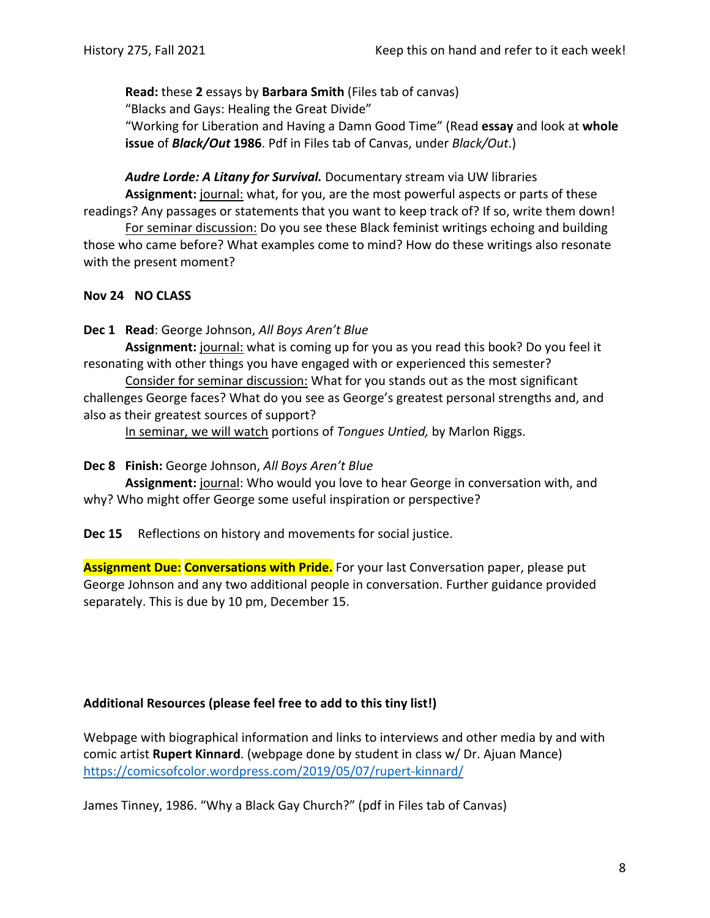**Read:** these **2** essays by **Barbara Smith** (Files tab of canvas)

"Blacks and Gays: Healing the Great Divide"

"Working for Liberation and Having a Damn Good Time" (Read **essay** and look at **whole issue** of *Black/Out* **1986**. Pdf in Files tab of Canvas, under *Black/Out*.)

*Audre Lorde: A Litany for Survival.* Documentary stream via UW libraries

**Assignment:** journal: what, for you, are the most powerful aspects or parts of these readings? Any passages or statements that you want to keep track of? If so, write them down!

For seminar discussion: Do you see these Black feminist writings echoing and building those who came before? What examples come to mind? How do these writings also resonate with the present moment?

## **Nov 24 NO CLASS**

**Dec 1 Read**: George Johnson, *All Boys Aren't Blue*

**Assignment:** journal: what is coming up for you as you read this book? Do you feel it resonating with other things you have engaged with or experienced this semester?

Consider for seminar discussion: What for you stands out as the most significant challenges George faces? What do you see as George's greatest personal strengths and, and also as their greatest sources of support?

In seminar, we will watch portions of *Tongues Untied,* by Marlon Riggs.

## **Dec 8 Finish:** George Johnson, *All Boys Aren't Blue*

**Assignment:** journal: Who would you love to hear George in conversation with, and why? Who might offer George some useful inspiration or perspective?

**Dec 15** Reflections on history and movements for social justice.

**Assignment Due: Conversations with Pride.** For your last Conversation paper, please put George Johnson and any two additional people in conversation. Further guidance provided separately. This is due by 10 pm, December 15.

## **Additional Resources (please feel free to add to this tiny list!)**

Webpage with biographical information and links to interviews and other media by and with comic artist **Rupert Kinnard**. (webpage done by student in class w/ Dr. Ajuan Mance) https://comicsofcolor.wordpress.com/2019/05/07/rupert‐kinnard/

James Tinney, 1986. "Why a Black Gay Church?" (pdf in Files tab of Canvas)